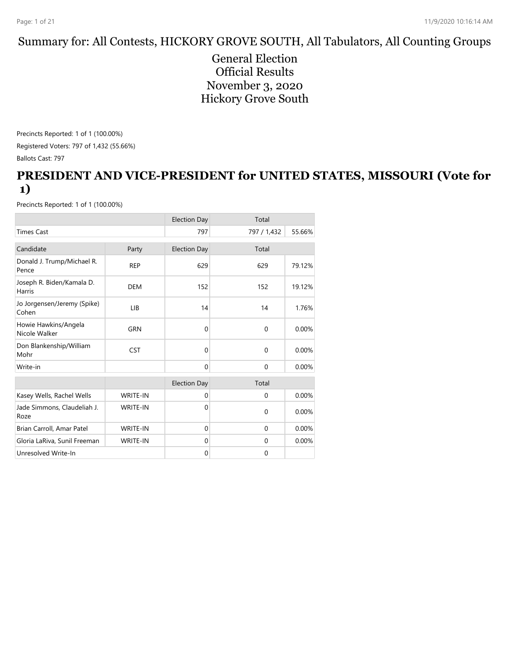#### Summary for: All Contests, HICKORY GROVE SOUTH, All Tabulators, All Counting Groups

General Election Official Results November 3, 2020 Hickory Grove South

Precincts Reported: 1 of 1 (100.00%) Registered Voters: 797 of 1,432 (55.66%) Ballots Cast: 797

#### **PRESIDENT AND VICE-PRESIDENT for UNITED STATES, MISSOURI (Vote for 1)**

|                                       |                 | <b>Election Day</b> | Total        |        |
|---------------------------------------|-----------------|---------------------|--------------|--------|
| <b>Times Cast</b>                     |                 | 797                 | 797 / 1,432  | 55.66% |
| Candidate                             | Party           | <b>Election Day</b> | Total        |        |
| Donald J. Trump/Michael R.<br>Pence   | <b>REP</b>      | 629                 | 629          | 79.12% |
| Joseph R. Biden/Kamala D.<br>Harris   | <b>DEM</b>      | 152                 | 152          | 19.12% |
| Jo Jorgensen/Jeremy (Spike)<br>Cohen  | LIB             | 14                  | 14           | 1.76%  |
| Howie Hawkins/Angela<br>Nicole Walker | <b>GRN</b>      | $\mathbf{0}$        | $\mathbf{0}$ | 0.00%  |
| Don Blankenship/William<br>Mohr       | <b>CST</b>      | $\Omega$            | $\Omega$     | 0.00%  |
| Write-in                              |                 | $\Omega$            | $\Omega$     | 0.00%  |
|                                       |                 | <b>Election Day</b> | Total        |        |
| Kasey Wells, Rachel Wells             | <b>WRITE-IN</b> | $\mathbf{0}$        | $\mathbf{0}$ | 0.00%  |
| Jade Simmons, Claudeliah J.<br>Roze   | WRITE-IN        | $\Omega$            | $\mathbf{0}$ | 0.00%  |
| Brian Carroll, Amar Patel             | <b>WRITE-IN</b> | $\mathbf{0}$        | $\Omega$     | 0.00%  |
| Gloria LaRiva, Sunil Freeman          | WRITE-IN        | $\mathbf{0}$        | $\Omega$     | 0.00%  |
| Unresolved Write-In                   |                 | $\mathbf{0}$        | $\mathbf{0}$ |        |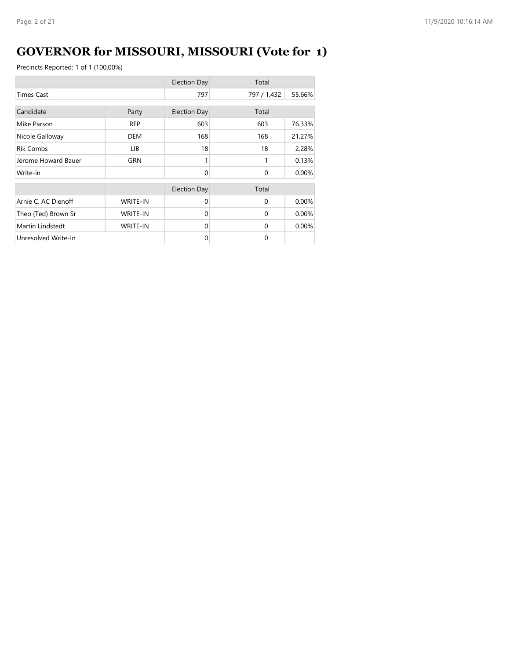# **GOVERNOR for MISSOURI, MISSOURI (Vote for 1)**

|                     |                 | <b>Election Day</b> | Total        |        |
|---------------------|-----------------|---------------------|--------------|--------|
| <b>Times Cast</b>   |                 | 797                 | 797 / 1,432  | 55.66% |
| Candidate           | Party           | <b>Election Day</b> | Total        |        |
| Mike Parson         | <b>REP</b>      | 603                 | 603          | 76.33% |
| Nicole Galloway     | <b>DEM</b>      | 168                 | 168          | 21.27% |
| <b>Rik Combs</b>    | LIB.            | 18                  | 18           | 2.28%  |
| Jerome Howard Bauer | <b>GRN</b>      |                     | 1            | 0.13%  |
| Write-in            |                 | $\Omega$            | $\mathbf{0}$ | 0.00%  |
|                     |                 | <b>Election Day</b> | Total        |        |
| Arnie C. AC Dienoff | <b>WRITE-IN</b> | $\Omega$            | $\Omega$     | 0.00%  |
| Theo (Ted) Brown Sr | <b>WRITE-IN</b> | $\Omega$            | $\Omega$     | 0.00%  |
| Martin Lindstedt    | <b>WRITE-IN</b> | $\Omega$            | $\Omega$     | 0.00%  |
| Unresolved Write-In |                 | $\Omega$            | $\Omega$     |        |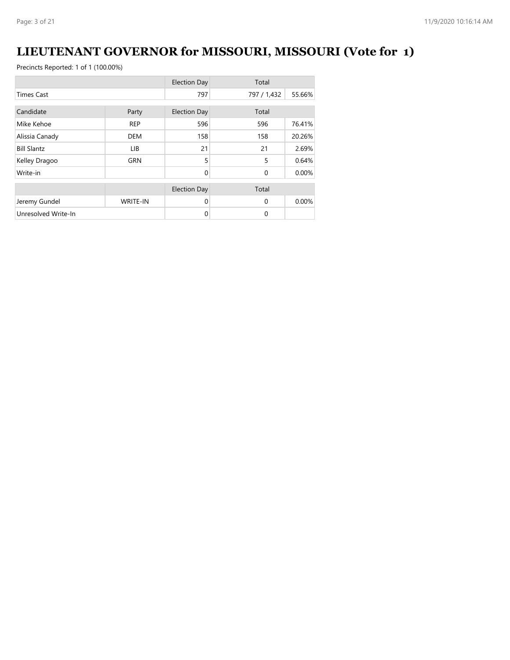# **LIEUTENANT GOVERNOR for MISSOURI, MISSOURI (Vote for 1)**

|                     |                 | <b>Election Day</b> | Total       |        |
|---------------------|-----------------|---------------------|-------------|--------|
| <b>Times Cast</b>   |                 | 797                 | 797 / 1,432 | 55.66% |
| Candidate           |                 |                     | Total       |        |
|                     | Party           | <b>Election Day</b> |             |        |
| Mike Kehoe          | <b>REP</b>      | 596                 | 596         | 76.41% |
| Alissia Canady      | <b>DEM</b>      | 158                 | 158         | 20.26% |
| <b>Bill Slantz</b>  | LIB             | 21                  | 21          | 2.69%  |
| Kelley Dragoo       | <b>GRN</b>      | 5                   | 5           | 0.64%  |
| Write-in            |                 | $\Omega$            | $\Omega$    | 0.00%  |
|                     |                 | <b>Election Day</b> | Total       |        |
| Jeremy Gundel       | <b>WRITE-IN</b> | $\Omega$            | $\Omega$    | 0.00%  |
| Unresolved Write-In |                 | $\mathbf 0$         | 0           |        |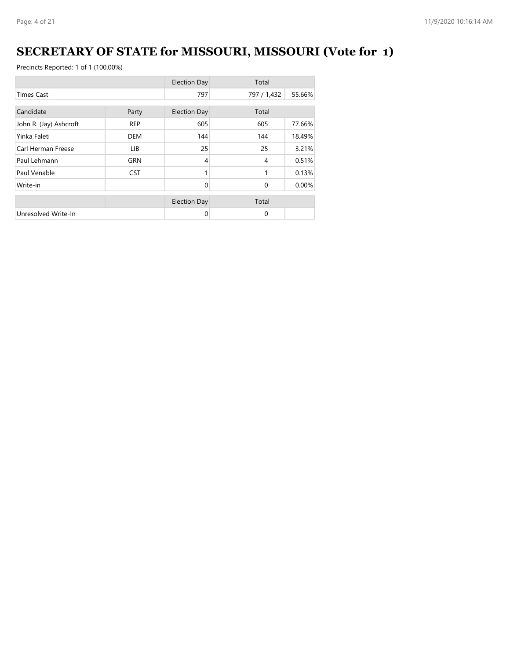# **SECRETARY OF STATE for MISSOURI, MISSOURI (Vote for 1)**

|                        |            | <b>Election Day</b> | Total       |        |
|------------------------|------------|---------------------|-------------|--------|
| <b>Times Cast</b>      |            | 797                 | 797 / 1,432 | 55.66% |
| Candidate              | Party      | <b>Election Day</b> | Total       |        |
| John R. (Jay) Ashcroft | <b>REP</b> | 605                 | 605         | 77.66% |
| Yinka Faleti           | <b>DEM</b> | 144                 | 144         | 18.49% |
| Carl Herman Freese     | LIB.       | 25                  | 25          | 3.21%  |
| Paul Lehmann           | GRN        | 4                   | 4           | 0.51%  |
| Paul Venable           | <b>CST</b> |                     | 1           | 0.13%  |
| Write-in               |            | $\Omega$            | $\Omega$    | 0.00%  |
|                        |            | <b>Election Day</b> | Total       |        |
| Unresolved Write-In    |            | 0                   | 0           |        |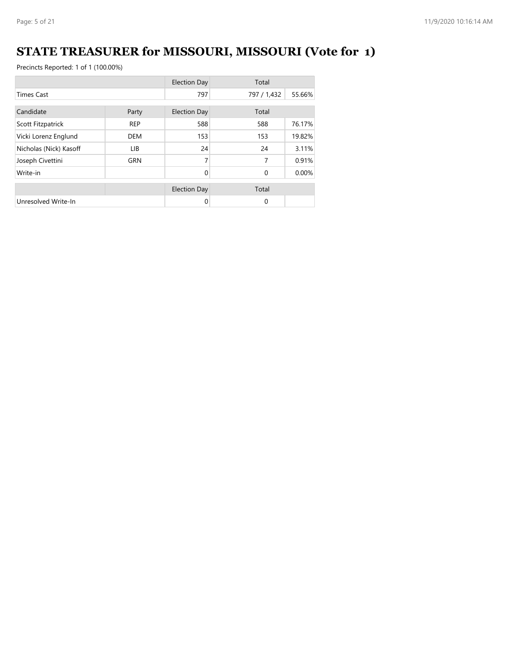# **STATE TREASURER for MISSOURI, MISSOURI (Vote for 1)**

|                        |            | <b>Election Day</b> | Total       |        |
|------------------------|------------|---------------------|-------------|--------|
| <b>Times Cast</b>      |            | 797                 | 797 / 1,432 | 55.66% |
| Candidate<br>Party     |            | <b>Election Day</b> | Total       |        |
| Scott Fitzpatrick      | <b>REP</b> | 588                 | 588         | 76.17% |
| Vicki Lorenz Englund   | <b>DEM</b> | 153                 | 153         | 19.82% |
| Nicholas (Nick) Kasoff | LIB.       | 24                  | 24          | 3.11%  |
| Joseph Civettini       | <b>GRN</b> | 7                   | 7           | 0.91%  |
| Write-in               |            | $\Omega$            | $\Omega$    | 0.00%  |
|                        |            | <b>Election Day</b> | Total       |        |
| Unresolved Write-In    |            | 0                   | $\mathbf 0$ |        |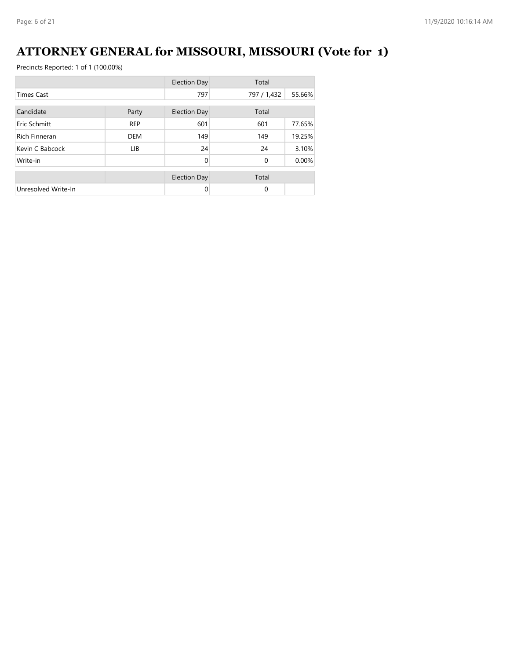# **ATTORNEY GENERAL for MISSOURI, MISSOURI (Vote for 1)**

|                      |            | <b>Election Day</b> | Total       |        |
|----------------------|------------|---------------------|-------------|--------|
| <b>Times Cast</b>    |            | 797                 | 797 / 1,432 | 55.66% |
| Candidate            | Party      | <b>Election Day</b> | Total       |        |
| Eric Schmitt         | <b>REP</b> | 601                 | 601         | 77.65% |
| <b>Rich Finneran</b> | <b>DEM</b> | 149                 | 149         | 19.25% |
| Kevin C Babcock      | LIB.       | 24                  | 24          | 3.10%  |
| Write-in             |            | $\Omega$            | $\mathbf 0$ | 0.00%  |
|                      |            | <b>Election Day</b> | Total       |        |
| Unresolved Write-In  |            | $\Omega$            | $\Omega$    |        |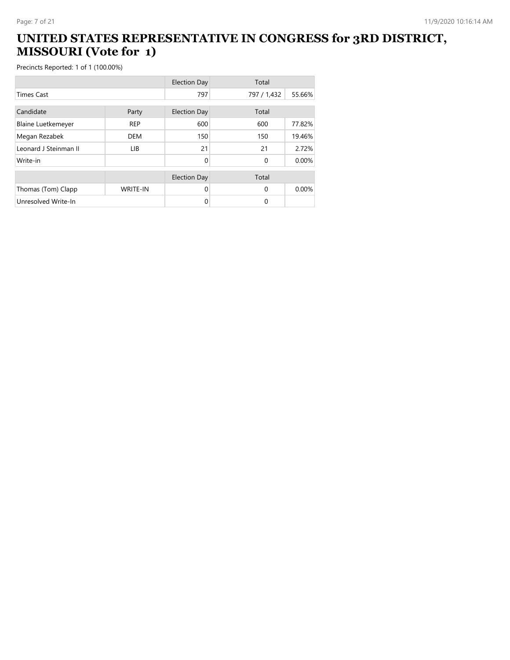#### **UNITED STATES REPRESENTATIVE IN CONGRESS for 3RD DISTRICT, MISSOURI (Vote for 1)**

|                           |                 | <b>Election Day</b> | Total       |        |
|---------------------------|-----------------|---------------------|-------------|--------|
| <b>Times Cast</b>         |                 | 797                 | 797 / 1,432 | 55.66% |
| Candidate<br>Party        |                 | <b>Election Day</b> | Total       |        |
| <b>Blaine Luetkemeyer</b> | <b>REP</b>      | 600                 | 600         | 77.82% |
| Megan Rezabek             | <b>DEM</b>      | 150                 | 150         | 19.46% |
| Leonard J Steinman II     | <b>LIB</b>      | 21                  | 21          | 2.72%  |
| Write-in                  |                 | 0                   | $\Omega$    | 0.00%  |
|                           |                 | <b>Election Day</b> | Total       |        |
| Thomas (Tom) Clapp        | <b>WRITE-IN</b> | $\Omega$            | $\Omega$    | 0.00%  |
| Unresolved Write-In       |                 | 0                   | $\Omega$    |        |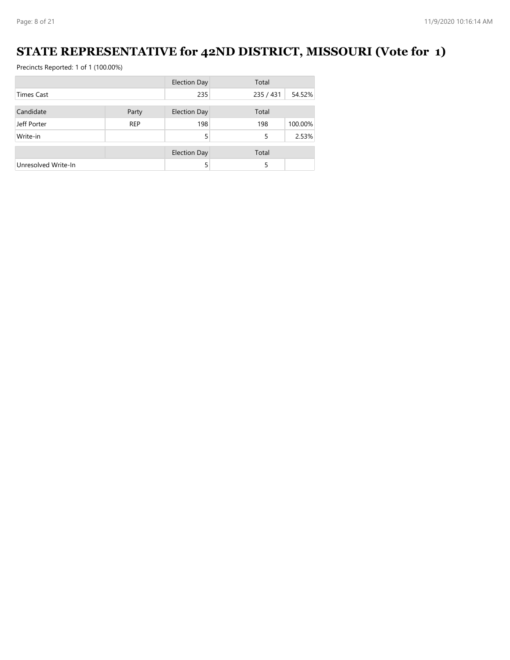#### **STATE REPRESENTATIVE for 42ND DISTRICT, MISSOURI (Vote for 1)**

|                     |            | <b>Election Day</b> | Total     |         |
|---------------------|------------|---------------------|-----------|---------|
| <b>Times Cast</b>   |            |                     | 235 / 431 | 54.52%  |
|                     |            |                     |           |         |
| Candidate           | Party      | <b>Election Day</b> | Total     |         |
| Jeff Porter         | <b>REP</b> | 198                 | 198       | 100.00% |
| Write-in            |            | 5                   | 5         | 2.53%   |
|                     |            | <b>Election Day</b> | Total     |         |
| Unresolved Write-In |            | 5                   | 5         |         |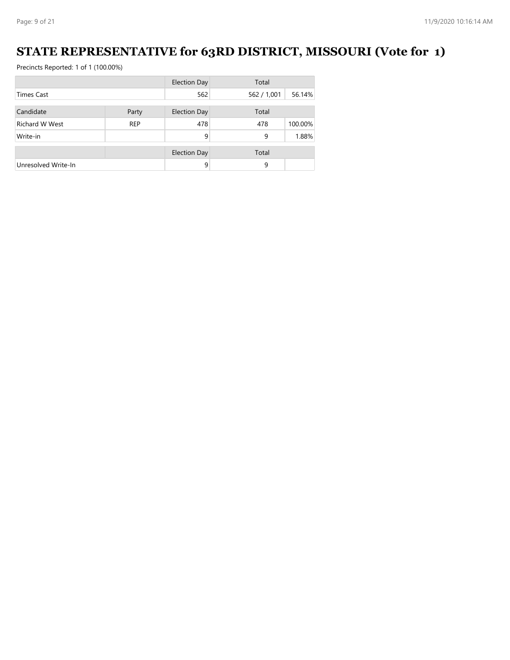#### **STATE REPRESENTATIVE for 63RD DISTRICT, MISSOURI (Vote for 1)**

|                       |            | <b>Election Day</b> | Total       |         |
|-----------------------|------------|---------------------|-------------|---------|
| <b>Times Cast</b>     |            | 562                 | 562 / 1,001 | 56.14%  |
| Candidate             | Party      | <b>Election Day</b> | Total       |         |
| <b>Richard W West</b> | <b>REP</b> | 478                 | 478         | 100.00% |
| Write-in              |            | 9                   | 9           | 1.88%   |
|                       |            |                     |             |         |
|                       |            | <b>Election Day</b> | Total       |         |
| Unresolved Write-In   |            | 9                   | 9           |         |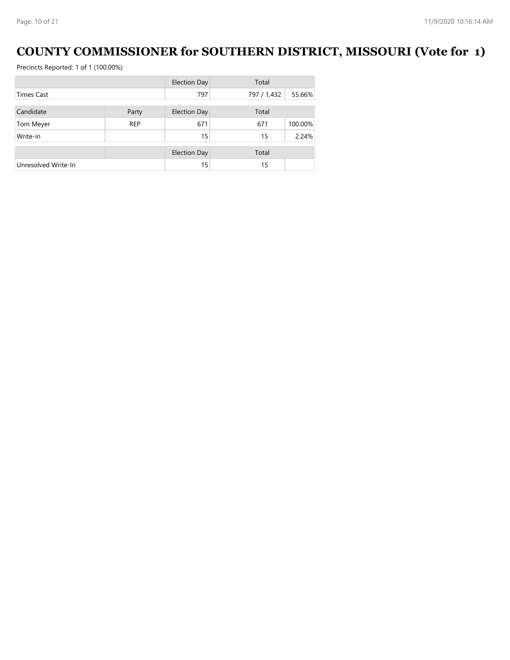#### **COUNTY COMMISSIONER for SOUTHERN DISTRICT, MISSOURI (Vote for 1)**

|                     |            | <b>Election Day</b> | Total       |         |
|---------------------|------------|---------------------|-------------|---------|
| <b>Times Cast</b>   |            | 797                 | 797 / 1,432 | 55.66%  |
| Candidate           | Party      | <b>Election Day</b> | Total       |         |
| Tom Meyer           | <b>REP</b> | 671                 | 671         | 100.00% |
| Write-in            |            | 15                  | 15          | 2.24%   |
|                     |            | <b>Election Day</b> | Total       |         |
| Unresolved Write-In |            | 15                  | 15          |         |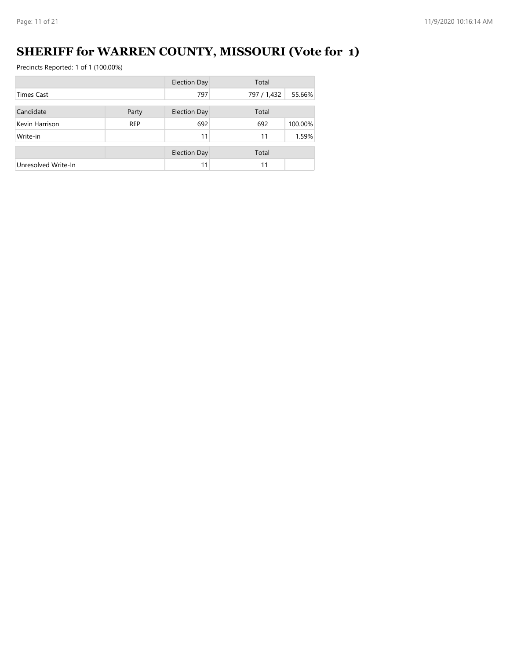# **SHERIFF for WARREN COUNTY, MISSOURI (Vote for 1)**

|                     |            | <b>Election Day</b> | Total       |         |
|---------------------|------------|---------------------|-------------|---------|
| <b>Times Cast</b>   |            | 797                 | 797 / 1,432 | 55.66%  |
| Candidate           | Party      | <b>Election Day</b> | Total       |         |
| Kevin Harrison      | <b>REP</b> | 692                 | 692         | 100.00% |
| Write-in            |            | 11                  | 11          | 1.59%   |
|                     |            |                     |             |         |
|                     |            | <b>Election Day</b> | Total       |         |
| Unresolved Write-In |            | 11                  | 11          |         |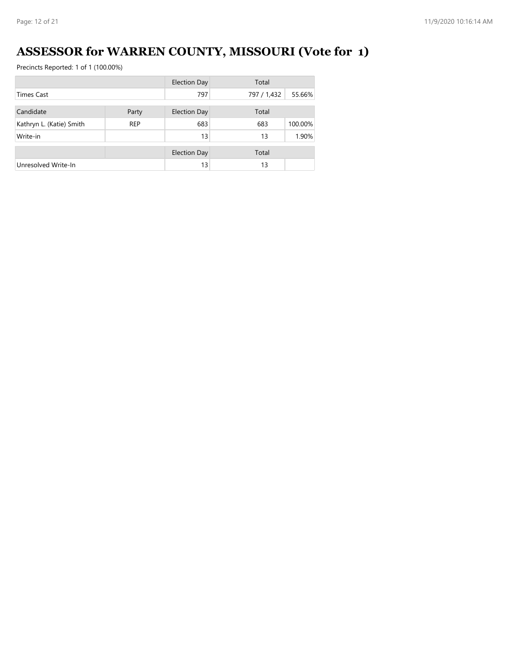# **ASSESSOR for WARREN COUNTY, MISSOURI (Vote for 1)**

|                          |            | <b>Election Day</b> | Total       |         |
|--------------------------|------------|---------------------|-------------|---------|
| <b>Times Cast</b>        |            | 797                 | 797 / 1,432 | 55.66%  |
|                          |            |                     |             |         |
| Candidate                | Party      | <b>Election Day</b> | Total       |         |
| Kathryn L. (Katie) Smith | <b>REP</b> | 683                 | 683         | 100.00% |
| Write-in                 |            | 13                  | 13          | 1.90%   |
|                          |            | <b>Election Day</b> | Total       |         |
|                          |            |                     |             |         |
| Unresolved Write-In      |            | 13                  | 13          |         |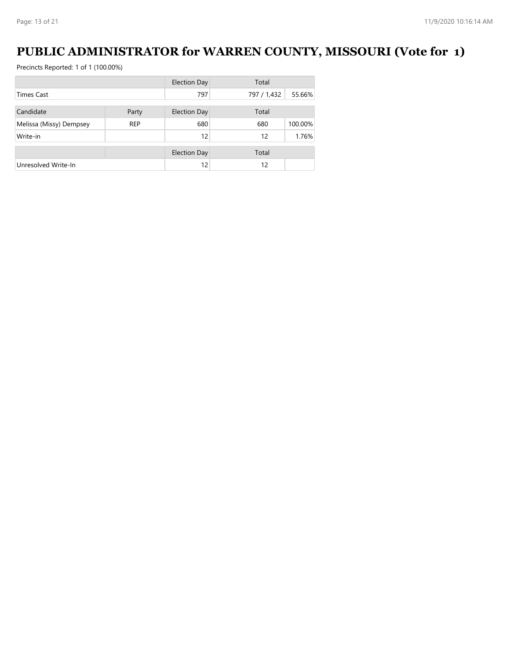#### **PUBLIC ADMINISTRATOR for WARREN COUNTY, MISSOURI (Vote for 1)**

|                         |            | <b>Election Day</b> | Total       |         |
|-------------------------|------------|---------------------|-------------|---------|
| <b>Times Cast</b>       |            | 797                 | 797 / 1,432 | 55.66%  |
| Candidate               | Party      | <b>Election Day</b> | Total       |         |
| Melissa (Missy) Dempsey | <b>REP</b> | 680                 | 680         | 100.00% |
| Write-in                |            | 12                  | 12          | 1.76%   |
|                         |            |                     |             |         |
|                         |            | <b>Election Day</b> | Total       |         |
| Unresolved Write-In     |            | 12                  | 12          |         |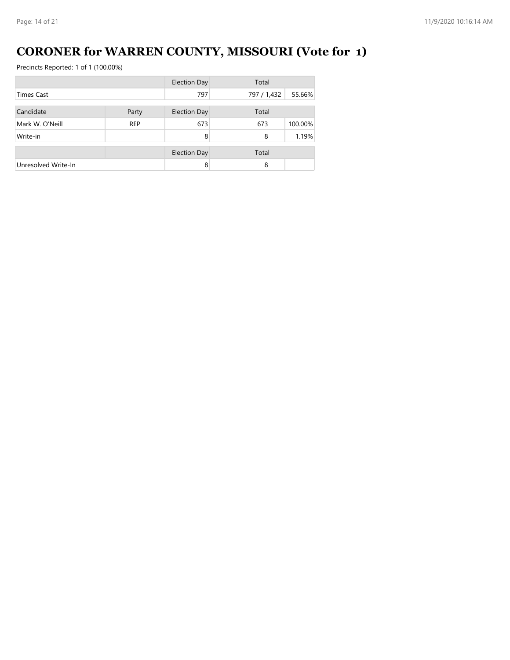# **CORONER for WARREN COUNTY, MISSOURI (Vote for 1)**

|                     |            | <b>Election Day</b> | Total       |         |
|---------------------|------------|---------------------|-------------|---------|
| <b>Times Cast</b>   |            | 797                 | 797 / 1,432 | 55.66%  |
| Candidate           |            |                     |             |         |
|                     | Party      | <b>Election Day</b> | Total       |         |
| Mark W. O'Neill     | <b>REP</b> | 673                 | 673         | 100.00% |
| Write-in            |            | 8                   | 8           | 1.19%   |
|                     |            | <b>Election Day</b> | Total       |         |
| Unresolved Write-In |            | 8                   | 8           |         |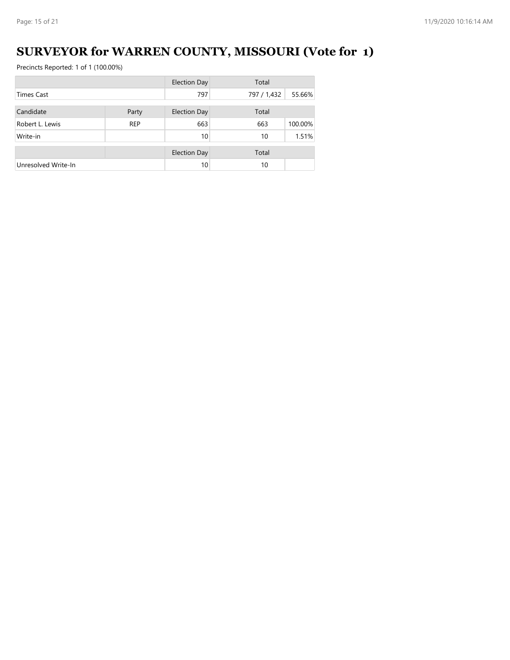# **SURVEYOR for WARREN COUNTY, MISSOURI (Vote for 1)**

|                     |            | <b>Election Day</b> | Total       |         |
|---------------------|------------|---------------------|-------------|---------|
| <b>Times Cast</b>   |            | 797                 | 797 / 1,432 | 55.66%  |
| Candidate           | Party      | <b>Election Day</b> | Total       |         |
| Robert L. Lewis     | <b>REP</b> | 663                 | 663         | 100.00% |
| Write-in            |            | 10                  | 10          | 1.51%   |
|                     |            | <b>Election Day</b> | Total       |         |
| Unresolved Write-In |            | 10                  | 10          |         |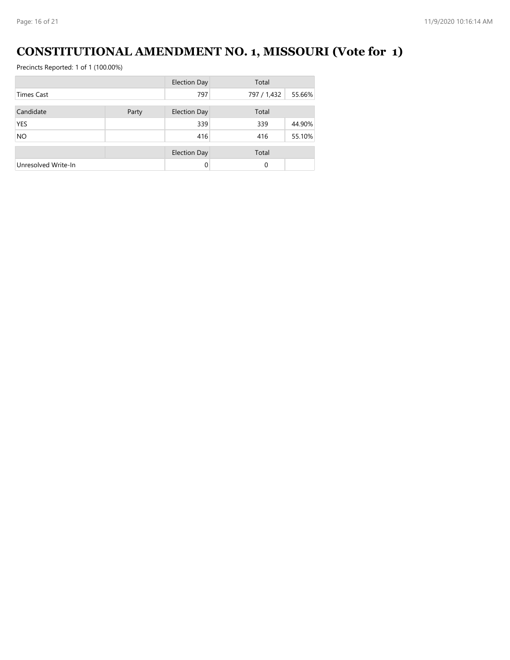# **CONSTITUTIONAL AMENDMENT NO. 1, MISSOURI (Vote for 1)**

|                     |       | <b>Election Day</b> | Total       |        |
|---------------------|-------|---------------------|-------------|--------|
| <b>Times Cast</b>   |       | 797                 | 797 / 1,432 | 55.66% |
| Candidate           |       |                     | Total       |        |
|                     | Party | <b>Election Day</b> |             |        |
| <b>YES</b>          |       | 339                 | 339         | 44.90% |
| <b>NO</b>           |       | 416                 | 416         | 55.10% |
|                     |       |                     |             |        |
|                     |       | <b>Election Day</b> | Total       |        |
| Unresolved Write-In |       | $\Omega$            | 0           |        |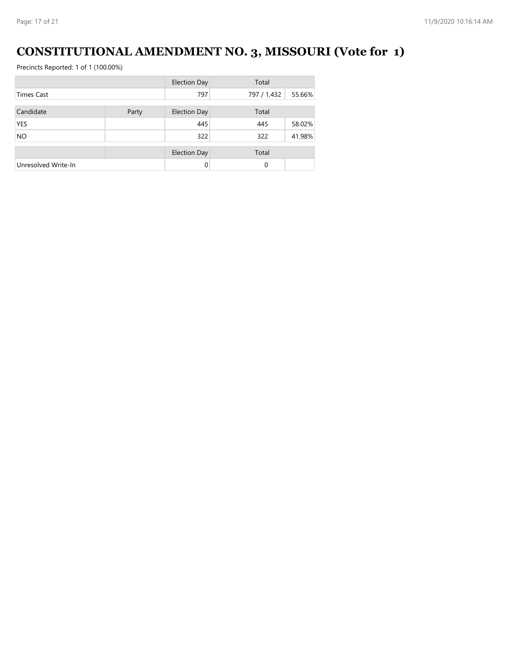# **CONSTITUTIONAL AMENDMENT NO. 3, MISSOURI (Vote for 1)**

|                     |       | <b>Election Day</b> | Total       |        |
|---------------------|-------|---------------------|-------------|--------|
| <b>Times Cast</b>   |       | 797                 | 797 / 1,432 | 55.66% |
| Candidate           | Party | <b>Election Day</b> | Total       |        |
| <b>YES</b>          |       | 445                 | 445         | 58.02% |
| <b>NO</b>           |       | 322                 | 322         | 41.98% |
|                     |       | <b>Election Day</b> | Total       |        |
| Unresolved Write-In |       | $\Omega$            | $\Omega$    |        |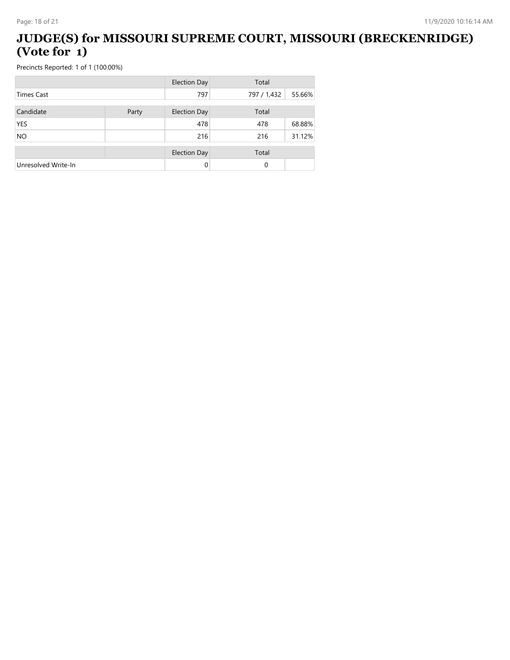#### **JUDGE(S) for MISSOURI SUPREME COURT, MISSOURI (BRECKENRIDGE) (Vote for 1)**

|                     |       | <b>Election Day</b> | Total       |        |
|---------------------|-------|---------------------|-------------|--------|
| <b>Times Cast</b>   |       | 797                 | 797 / 1,432 | 55.66% |
| Candidate           | Party | <b>Election Day</b> | Total       |        |
| <b>YES</b>          |       | 478                 | 478         | 68.88% |
| <b>NO</b>           |       | 216                 | 216         | 31.12% |
|                     |       |                     |             |        |
|                     |       | <b>Election Day</b> | Total       |        |
| Unresolved Write-In |       | 0                   | 0           |        |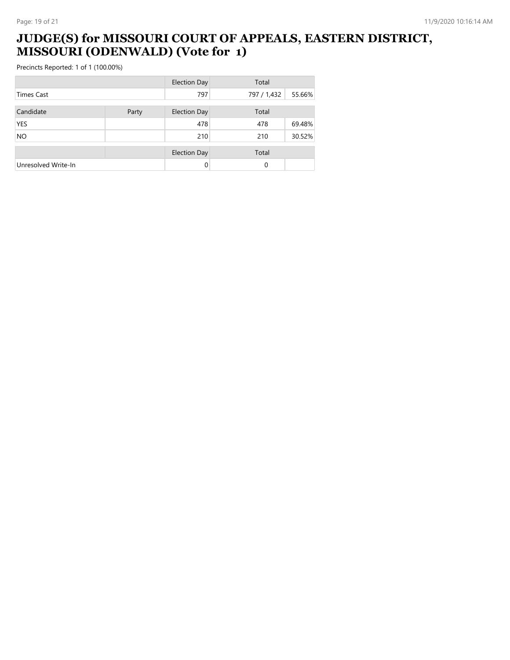#### **JUDGE(S) for MISSOURI COURT OF APPEALS, EASTERN DISTRICT, MISSOURI (ODENWALD) (Vote for 1)**

|                     |       | <b>Election Day</b> | Total       |        |
|---------------------|-------|---------------------|-------------|--------|
| <b>Times Cast</b>   |       | 797                 | 797 / 1,432 | 55.66% |
| Candidate           | Party | <b>Election Day</b> | Total       |        |
| <b>YES</b>          |       | 478                 | 478         | 69.48% |
| <b>NO</b>           |       | 210                 | 210         | 30.52% |
|                     |       | <b>Election Day</b> | Total       |        |
| Unresolved Write-In |       | 0                   | $\mathbf 0$ |        |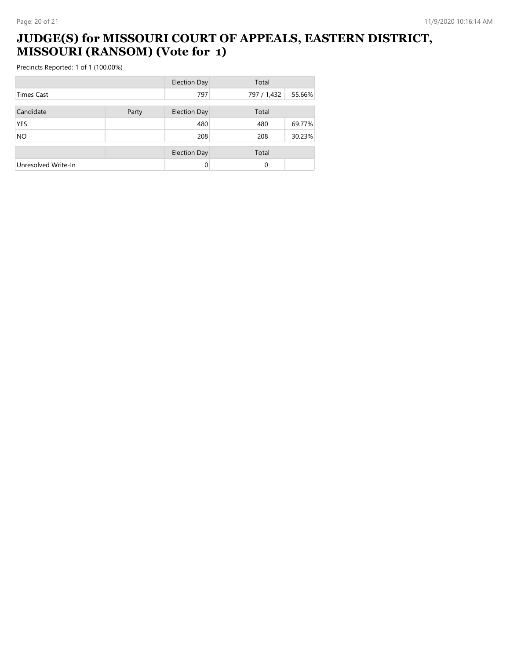#### **JUDGE(S) for MISSOURI COURT OF APPEALS, EASTERN DISTRICT, MISSOURI (RANSOM) (Vote for 1)**

|                     |       | <b>Election Day</b> | Total       |        |
|---------------------|-------|---------------------|-------------|--------|
| <b>Times Cast</b>   |       | 797                 | 797 / 1,432 | 55.66% |
| Candidate           | Party | <b>Election Day</b> | Total       |        |
| <b>YES</b>          |       | 480                 | 480         | 69.77% |
| <b>NO</b>           |       | 208                 | 208         | 30.23% |
|                     |       | <b>Election Day</b> | Total       |        |
| Unresolved Write-In |       | $\Omega$            | 0           |        |